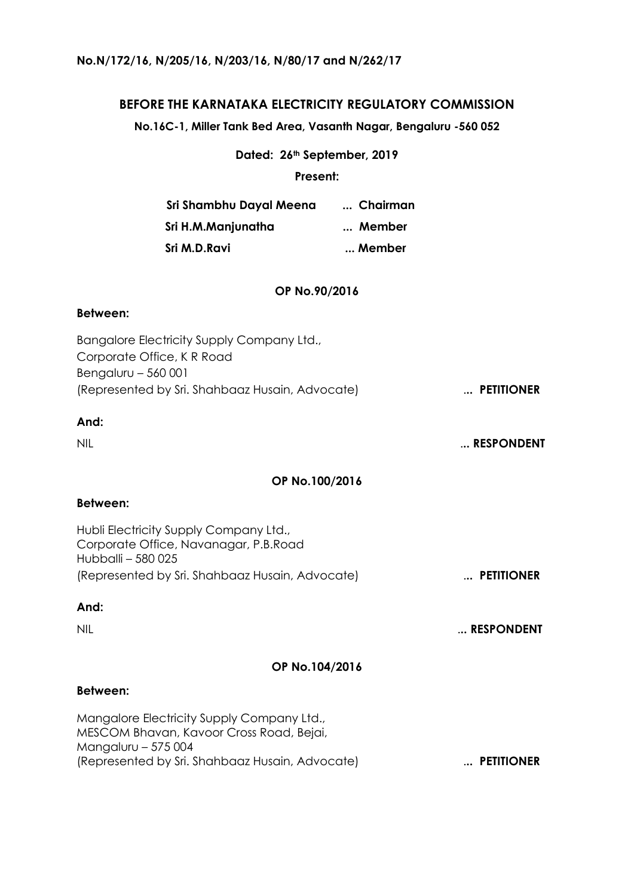## **No.N/172/16, N/205/16, N/203/16, N/80/17 and N/262/17**

# **BEFORE THE KARNATAKA ELECTRICITY REGULATORY COMMISSION**

**No.16C-1, Miller Tank Bed Area, Vasanth Nagar, Bengaluru -560 052**

**Dated: 26th September, 2019**

**Present:**

| Sri Shambhu Dayal Meena | Chairman |
|-------------------------|----------|
| Sri H.M.Manjunatha      | Member   |
| Sri M.D.Ravi            | Member   |

## **OP No.90/2016**

### **Between:**

| Bangalore Electricity Supply Company Ltd.,      |            |
|-------------------------------------------------|------------|
| Corporate Office, K R Road                      |            |
| Bengaluru - 560 001                             |            |
| (Represented by Sri. Shahbaaz Husain, Advocate) | PETITIONER |

## **And:**

### **OP No.100/2016**

## **Between:**

Hubli Electricity Supply Company Ltd., Corporate Office, Navanagar, P.B.Road Hubballi – 580 025 (Represented by Sri. Shahbaaz Husain, Advocate) .**.. PETITIONER**

# **And:**

NIL .**.. RESPONDENT**

#### **OP No.104/2016**

#### **Between:**

Mangalore Electricity Supply Company Ltd., MESCOM Bhavan, Kavoor Cross Road, Bejai, Mangaluru – 575 004 (Represented by Sri. Shahbaaz Husain, Advocate) .**.. PETITIONER**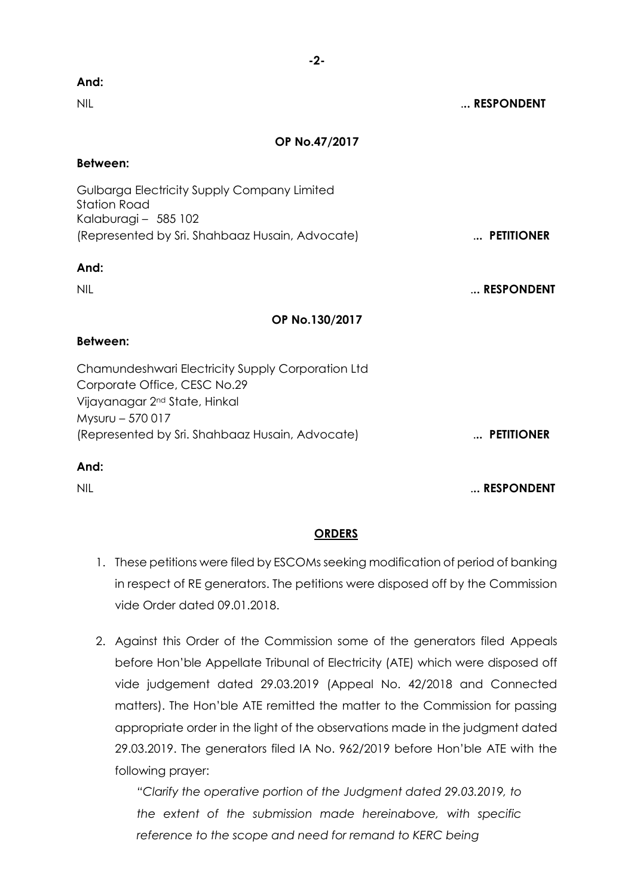| And:                                                                                                                                               |            |
|----------------------------------------------------------------------------------------------------------------------------------------------------|------------|
| <b>NIL</b>                                                                                                                                         | RESPONDENT |
| OP No.47/2017                                                                                                                                      |            |
| <b>Between:</b>                                                                                                                                    |            |
| Gulbarga Electricity Supply Company Limited<br><b>Station Road</b><br>Kalaburagi - 585 102                                                         |            |
| (Represented by Sri. Shahbaaz Husain, Advocate)                                                                                                    | PETITIONER |
| And:                                                                                                                                               |            |
| <b>NIL</b>                                                                                                                                         | RESPONDENT |
| OP No.130/2017                                                                                                                                     |            |
| <b>Between:</b>                                                                                                                                    |            |
| Chamundeshwari Electricity Supply Corporation Ltd<br>Corporate Office, CESC No.29<br>Vijayanagar 2 <sup>nd</sup> State, Hinkal<br>Mysuru - 570 017 |            |
| (Represented by Sri. Shahbaaz Husain, Advocate)                                                                                                    | PETITIONER |
| And:                                                                                                                                               |            |

NIL .**.. RESPONDENT**

# **ORDERS**

- 1. These petitions were filed by ESCOMs seeking modification of period of banking in respect of RE generators. The petitions were disposed off by the Commission vide Order dated 09.01.2018.
- 2. Against this Order of the Commission some of the generators filed Appeals before Hon'ble Appellate Tribunal of Electricity (ATE) which were disposed off vide judgement dated 29.03.2019 (Appeal No. 42/2018 and Connected matters). The Hon'ble ATE remitted the matter to the Commission for passing appropriate order in the light of the observations made in the judgment dated 29.03.2019. The generators filed IA No. 962/2019 before Hon'ble ATE with the following prayer:

*"Clarify the operative portion of the Judgment dated 29.03.2019, to the extent of the submission made hereinabove, with specific reference to the scope and need for remand to KERC being* 

# **-2-**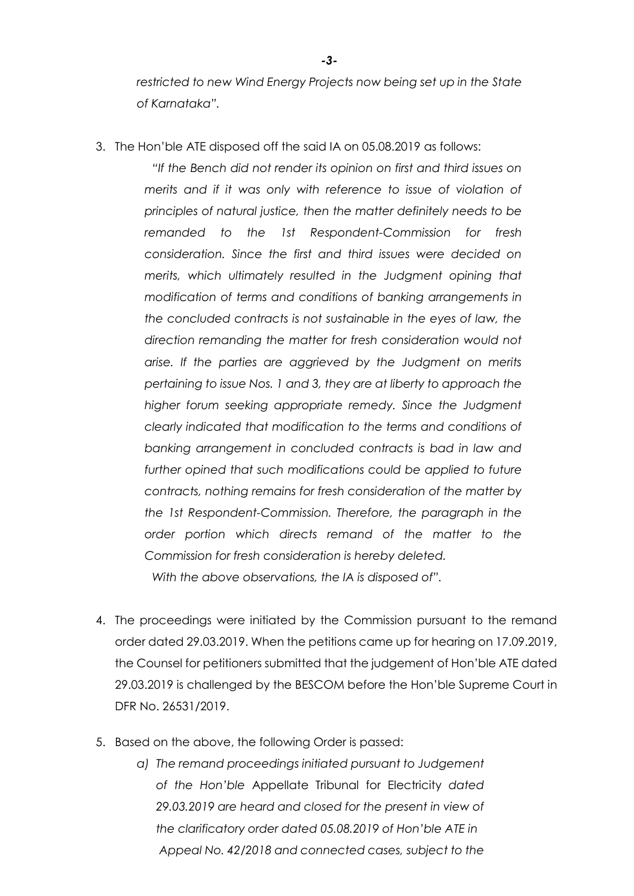*restricted to new Wind Energy Projects now being set up in the State of Karnataka".* 

3. The Hon'ble ATE disposed off the said IA on 05.08.2019 as follows:

*"If the Bench did not render its opinion on first and third issues on merits and if it was only with reference to issue of violation of principles of natural justice, then the matter definitely needs to be remanded to the 1st Respondent-Commission for fresh consideration. Since the first and third issues were decided on merits, which ultimately resulted in the Judgment opining that modification of terms and conditions of banking arrangements in the concluded contracts is not sustainable in the eyes of law, the direction remanding the matter for fresh consideration would not arise. If the parties are aggrieved by the Judgment on merits pertaining to issue Nos. 1 and 3, they are at liberty to approach the higher forum seeking appropriate remedy. Since the Judgment clearly indicated that modification to the terms and conditions of banking arrangement in concluded contracts is bad in law and*  further opined that such modifications could be applied to future *contracts, nothing remains for fresh consideration of the matter by the 1st Respondent-Commission. Therefore, the paragraph in the order portion which directs remand of the matter to the Commission for fresh consideration is hereby deleted.*

*With the above observations, the IA is disposed of".*

- 4. The proceedings were initiated by the Commission pursuant to the remand order dated 29.03.2019. When the petitions came up for hearing on 17.09.2019, the Counsel for petitioners submitted that the judgement of Hon'ble ATE dated 29.03.2019 is challenged by the BESCOM before the Hon'ble Supreme Court in DFR No. 26531/2019.
- 5. Based on the above, the following Order is passed:
	- *a) The remand proceedings initiated pursuant to Judgement of the Hon'ble* Appellate Tribunal for Electricity *dated 29.03.2019 are heard and closed for the present in view of the clarificatory order dated 05.08.2019 of Hon'ble ATE in Appeal No. 42/2018 and connected cases, subject to the*